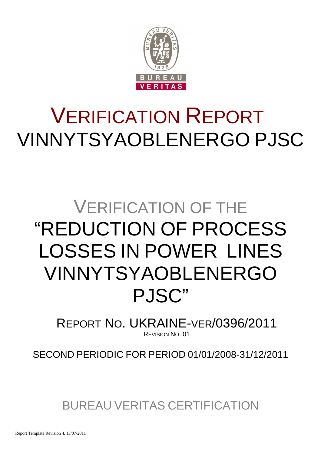

# VERIFICATION REPORT VINNYTSYAOBLENERGO PJSC

## VERIFICATION OF THE "REDUCTION OF PROCESS LOSSES IN POWER LINES VINNYTSYAOBLENERGO PJSC"

REPORT NO. UKRAINE-VER/0396/2011 REVISION NO. 01

SECOND PERIODIC FOR PERIOD 01/01/2008-31/12/2011

BUREAU VERITAS CERTIFICATION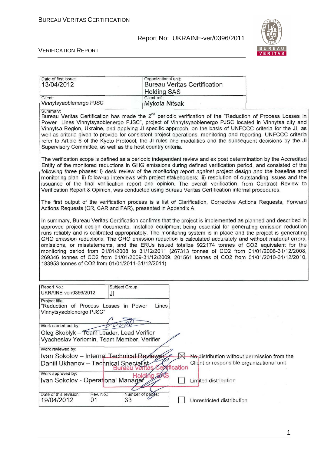

#### VERIFICATION REPORT

| Date of first issue:<br>13/04/2012                                                      |                 | Organizational unit:<br><b>Holding SAS</b> |          | <b>Bureau Veritas Certification</b>                                                                  |                                                                                                                                                                                                                                                                                                                                                                                                                                                                                                                                                                                                                                                                                                                                                                         |
|-----------------------------------------------------------------------------------------|-----------------|--------------------------------------------|----------|------------------------------------------------------------------------------------------------------|-------------------------------------------------------------------------------------------------------------------------------------------------------------------------------------------------------------------------------------------------------------------------------------------------------------------------------------------------------------------------------------------------------------------------------------------------------------------------------------------------------------------------------------------------------------------------------------------------------------------------------------------------------------------------------------------------------------------------------------------------------------------------|
| Client:<br>Vinnytsyaoblenergo PJSC                                                      |                 | Client ref.:<br>Mykola Nitsak              |          |                                                                                                      |                                                                                                                                                                                                                                                                                                                                                                                                                                                                                                                                                                                                                                                                                                                                                                         |
| Summary:<br>Supervisory Committee, as well as the host country criteria.                |                 |                                            |          |                                                                                                      | Bureau Veritas Certification has made the 2 <sup>nd</sup> periodic verification of the "Reduction of Process Losses in<br>Power Lines Vinnytsyaoblenergo PJSC", project of Vinnytsyaoblenergo PJSC located in Vinnytsa city and<br>Vinnytsa Region, Ukraine, and applying JI specific approach, on the basis of UNFCCC criteria for the JI, as<br>well as criteria given to provide for consistent project operations, monitoring and reporting. UNFCCC criteria<br>refer to Article 6 of the Kyoto Protocol, the JI rules and modalities and the subsequent decisions by the JI                                                                                                                                                                                        |
|                                                                                         |                 |                                            |          | Verification Report & Opinion, was conducted using Bureau Veritas Certification internal procedures. | The verification scope is defined as a periodic independent review and ex post determination by the Accredited<br>Entity of the monitored reductions in GHG emissions during defined verification period, and consisted of the<br>following three phases: i) desk review of the monitoring report against project design and the baseline and<br>monitoring plan; ii) follow-up interviews with project stakeholders; iii) resolution of outstanding issues and the<br>issuance of the final verification report and opinion. The overall verification, from Contract Review to                                                                                                                                                                                         |
| Actions Requests (CR, CAR and FAR), presented in Appendix A.                            |                 |                                            |          |                                                                                                      | The first output of the verification process is a list of Clarification, Corrective Actions Requests, Forward                                                                                                                                                                                                                                                                                                                                                                                                                                                                                                                                                                                                                                                           |
| 183953 tonnes of CO2 from 01/01/2011-31/12/2011)                                        |                 |                                            |          |                                                                                                      | In summary, Bureau Veritas Certification confirms that the project is implemented as planned and described in<br>approved project design documents. Installed equipment being essential for generating emission reduction<br>runs reliably and is calibrated appropriately. The monitoring system is in place and the project is generating<br>GHG emission reductions. The GHG emission reduction is calculated accurately and without material errors,<br>omissions, or misstatements, and the ERUs issued totalize 922174 tonnes of CO2 equivalent for the<br>monitoring period from 01/01/2008 to 31/12/2011 (267313 tonnes of CO2 from 01/01/2008-31/12/2008,<br>269346 tonnes of CO2 from 01/01/2009-31/12/2009, 201561 tonnes of CO2 from 01/01/2010-31/12/2010, |
| Report No.:<br>UKRAINE-ver/0396/2012                                                    | JI              | Subject Group:                             |          |                                                                                                      |                                                                                                                                                                                                                                                                                                                                                                                                                                                                                                                                                                                                                                                                                                                                                                         |
| Project title:<br>"Reduction of Process Losses in Power<br>Vinnytsyaoblenergo PJSC"     |                 | Lines                                      |          |                                                                                                      |                                                                                                                                                                                                                                                                                                                                                                                                                                                                                                                                                                                                                                                                                                                                                                         |
| Work carried out by:                                                                    |                 |                                            |          |                                                                                                      |                                                                                                                                                                                                                                                                                                                                                                                                                                                                                                                                                                                                                                                                                                                                                                         |
| Oleg Skoblyk - Team Leader, Lead Verifier<br>Vyacheslav Yeriomin, Team Member, Verifier |                 |                                            |          |                                                                                                      |                                                                                                                                                                                                                                                                                                                                                                                                                                                                                                                                                                                                                                                                                                                                                                         |
| Work reviewed by:<br>Ivan Sokolov - Internal Technical Reviewer                         |                 |                                            |          | No <sub>l</sub> distribution without permission from the                                             |                                                                                                                                                                                                                                                                                                                                                                                                                                                                                                                                                                                                                                                                                                                                                                         |
| Daniil Ukhanov - Technical Specialist                                                   |                 |                                            | fication | Client or responsible organizational unit                                                            |                                                                                                                                                                                                                                                                                                                                                                                                                                                                                                                                                                                                                                                                                                                                                                         |
| Work approved by:<br>Ivan Sokolov - Operational Manager                                 |                 | Hold                                       |          | Limited distribution                                                                                 |                                                                                                                                                                                                                                                                                                                                                                                                                                                                                                                                                                                                                                                                                                                                                                         |
| Date of this revision:<br>19/04/2012                                                    | Rev. No.:<br>01 | Number of pages:<br>33                     |          | Unrestricted distribution                                                                            |                                                                                                                                                                                                                                                                                                                                                                                                                                                                                                                                                                                                                                                                                                                                                                         |

1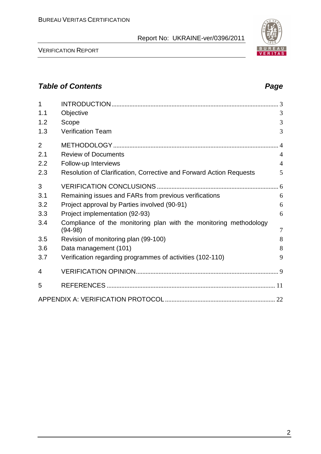

## **Table of Contents Page 2018**

| 1              |                                                                                | 3              |
|----------------|--------------------------------------------------------------------------------|----------------|
| 1.1            | Objective                                                                      | 3              |
| 1.2            | Scope                                                                          | 3              |
| 1.3            | <b>Verification Team</b>                                                       | 3              |
| $\overline{2}$ |                                                                                | $\overline{4}$ |
| 2.1            | <b>Review of Documents</b>                                                     | $\overline{4}$ |
| 2.2            | Follow-up Interviews                                                           | $\overline{4}$ |
| 2.3            | Resolution of Clarification, Corrective and Forward Action Requests            | 5              |
| 3              |                                                                                |                |
| 3.1            | Remaining issues and FARs from previous verifications                          | 6              |
| 3.2            | Project approval by Parties involved (90-91)                                   | 6              |
| 3.3            | Project implementation (92-93)                                                 | 6              |
| 3.4            | Compliance of the monitoring plan with the monitoring methodology<br>$(94-98)$ | 7              |
| 3.5            | Revision of monitoring plan (99-100)                                           | 8              |
| 3.6            | Data management (101)                                                          | 8              |
| 3.7            | Verification regarding programmes of activities (102-110)                      | 9              |
| 4              |                                                                                |                |
| 5              |                                                                                |                |
|                |                                                                                |                |

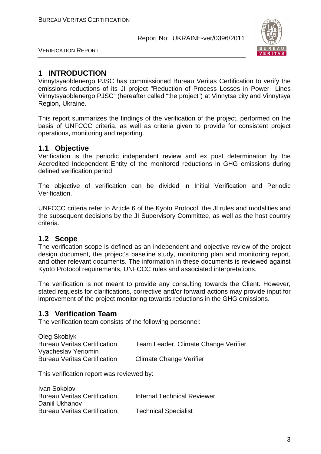

VERIFICATION REPORT

## **1 INTRODUCTION**

Vinnytsyaoblenergo PJSC has commissioned Bureau Veritas Certification to verify the emissions reductions of its JI project "Reduction of Process Losses in Power Lines Vinnytsyaoblenergo PJSC" (hereafter called "the project") at Vinnytsa city and Vinnytsya Region, Ukraine.

This report summarizes the findings of the verification of the project, performed on the basis of UNFCCC criteria, as well as criteria given to provide for consistent project operations, monitoring and reporting.

## **1.1 Objective**

Verification is the periodic independent review and ex post determination by the Accredited Independent Entity of the monitored reductions in GHG emissions during defined verification period.

The objective of verification can be divided in Initial Verification and Periodic Verification.

UNFCCC criteria refer to Article 6 of the Kyoto Protocol, the JI rules and modalities and the subsequent decisions by the JI Supervisory Committee, as well as the host country criteria.

## **1.2 Scope**

The verification scope is defined as an independent and objective review of the project design document, the project's baseline study, monitoring plan and monitoring report, and other relevant documents. The information in these documents is reviewed against Kyoto Protocol requirements, UNFCCC rules and associated interpretations.

The verification is not meant to provide any consulting towards the Client. However, stated requests for clarifications, corrective and/or forward actions may provide input for improvement of the project monitoring towards reductions in the GHG emissions.

## **1.3 Verification Team**

The verification team consists of the following personnel:

| Oleg Skoblyk                        |                                      |
|-------------------------------------|--------------------------------------|
| <b>Bureau Veritas Certification</b> | Team Leader, Climate Change Verifier |
| Vyacheslav Yeriomin                 |                                      |
| <b>Bureau Veritas Certification</b> | <b>Climate Change Verifier</b>       |

This verification report was reviewed by:

| Ivan Sokolov                  |                                    |
|-------------------------------|------------------------------------|
| Bureau Veritas Certification, | <b>Internal Technical Reviewer</b> |
| Daniil Ukhanov                |                                    |
| Bureau Veritas Certification, | <b>Technical Specialist</b>        |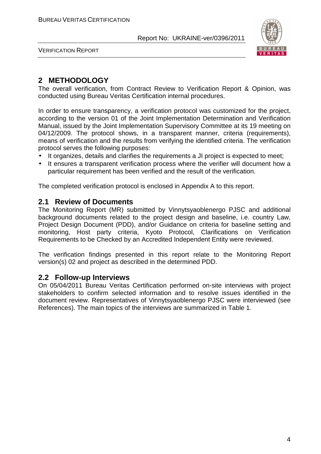

VERIFICATION REPORT

## **2 METHODOLOGY**

The overall verification, from Contract Review to Verification Report & Opinion, was conducted using Bureau Veritas Certification internal procedures.

In order to ensure transparency, a verification protocol was customized for the project, according to the version 01 of the Joint Implementation Determination and Verification Manual, issued by the Joint Implementation Supervisory Committee at its 19 meeting on 04/12/2009. The protocol shows, in a transparent manner, criteria (requirements), means of verification and the results from verifying the identified criteria. The verification protocol serves the following purposes:

- It organizes, details and clarifies the requirements a JI project is expected to meet;
- It ensures a transparent verification process where the verifier will document how a particular requirement has been verified and the result of the verification.

The completed verification protocol is enclosed in Appendix A to this report.

### **2.1 Review of Documents**

The Monitoring Report (MR) submitted by Vinnytsyaoblenergo PJSC and additional background documents related to the project design and baseline, i.e. country Law, Project Design Document (PDD), and/or Guidance on criteria for baseline setting and monitoring, Host party criteria, Kyoto Protocol, Clarifications on Verification Requirements to be Checked by an Accredited Independent Entity were reviewed.

The verification findings presented in this report relate to the Monitoring Report version(s) 02 and project as described in the determined PDD.

## **2.2 Follow-up Interviews**

On 05/04/2011 Bureau Veritas Certification performed on-site interviews with project stakeholders to confirm selected information and to resolve issues identified in the document review. Representatives of Vinnytsyaoblenergo PJSC were interviewed (see References). The main topics of the interviews are summarized in Table 1.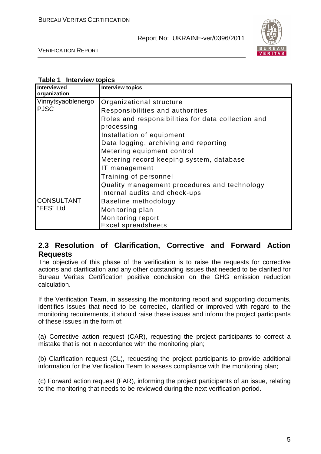

VERIFICATION REPORT

| Interviewed<br>organization | <b>Interview topics</b>                                          |
|-----------------------------|------------------------------------------------------------------|
| Vinnytsyaoblenergo          | Organizational structure                                         |
| <b>PJSC</b>                 | Responsibilities and authorities                                 |
|                             | Roles and responsibilities for data collection and<br>processing |
|                             | Installation of equipment                                        |
|                             | Data logging, archiving and reporting                            |
|                             | Metering equipment control                                       |
|                             | Metering record keeping system, database                         |
|                             | IT management                                                    |
|                             | Training of personnel                                            |
|                             | Quality management procedures and technology                     |
|                             | Internal audits and check-ups                                    |
| <b>CONSULTANT</b>           | Baseline methodology                                             |
| l "EES" Ltd                 | Monitoring plan                                                  |
|                             | Monitoring report                                                |
|                             | <b>Excel spreadsheets</b>                                        |

## **2.3 Resolution of Clarification, Corrective and Forward Action Requests**

The objective of this phase of the verification is to raise the requests for corrective actions and clarification and any other outstanding issues that needed to be clarified for Bureau Veritas Certification positive conclusion on the GHG emission reduction calculation.

If the Verification Team, in assessing the monitoring report and supporting documents, identifies issues that need to be corrected, clarified or improved with regard to the monitoring requirements, it should raise these issues and inform the project participants of these issues in the form of:

(a) Corrective action request (CAR), requesting the project participants to correct a mistake that is not in accordance with the monitoring plan;

(b) Clarification request (CL), requesting the project participants to provide additional information for the Verification Team to assess compliance with the monitoring plan;

(c) Forward action request (FAR), informing the project participants of an issue, relating to the monitoring that needs to be reviewed during the next verification period.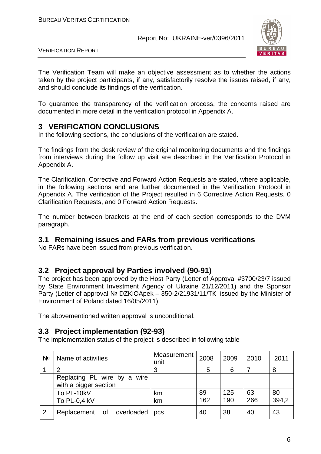

VERIFICATION REPORT

The Verification Team will make an objective assessment as to whether the actions taken by the project participants, if any, satisfactorily resolve the issues raised, if any, and should conclude its findings of the verification.

To guarantee the transparency of the verification process, the concerns raised are documented in more detail in the verification protocol in Appendix A.

## **3 VERIFICATION CONCLUSIONS**

In the following sections, the conclusions of the verification are stated.

The findings from the desk review of the original monitoring documents and the findings from interviews during the follow up visit are described in the Verification Protocol in Appendix A.

The Clarification, Corrective and Forward Action Requests are stated, where applicable, in the following sections and are further documented in the Verification Protocol in Appendix A. The verification of the Project resulted in 6 Corrective Action Requests, 0 Clarification Requests, and 0 Forward Action Requests.

The number between brackets at the end of each section corresponds to the DVM paragraph.

## **3.1 Remaining issues and FARs from previous verifications**

No FARs have been issued from previous verification.

## **3.2 Project approval by Parties involved (90-91)**

The project has been approved by the Host Party (Letter of Approval #3700/23/7 issued by State Environment Investment Agency of Ukraine 21/12/2011) and the Sponsor Party (Letter of approval № DZKiOApek – 350-2/21931/11/ТК issued by the Minister of Environment of Poland dated 16/05/2011)

The abovementioned written approval is unconditional.

## **3.3 Project implementation (92-93)**

The implementation status of the project is described in following table

| Nº | Name of activities                                   | Measurement  <br>unit | 2008      | 2009       | 2010      | 2011        |
|----|------------------------------------------------------|-----------------------|-----------|------------|-----------|-------------|
|    | າ                                                    | 3                     | 5         | 6          |           | 8           |
|    | Replacing PL wire by a wire<br>with a bigger section |                       |           |            |           |             |
|    | To PL-10kV<br>To PL-0,4 kV                           | km<br>km              | 89<br>162 | 125<br>190 | 63<br>266 | 80<br>394,2 |
| 2  | Replacement of overloaded                            | pcs                   | 40        | 38         | 40        | 43          |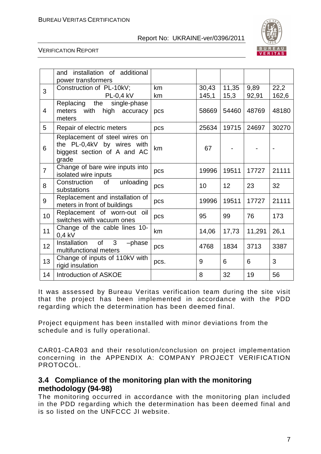

#### VERIFICATION REPORT

|                | installation of additional<br>and<br>power transformers                                             |          |                |               |               |               |
|----------------|-----------------------------------------------------------------------------------------------------|----------|----------------|---------------|---------------|---------------|
| 3              | Construction of PL-10kV;<br><b>PL-0,4 kV</b>                                                        | km<br>km | 30,43<br>145,1 | 11,35<br>15,3 | 9,89<br>92,91 | 22,2<br>162,6 |
| $\overline{4}$ | Replacing the<br>single-phase<br>with<br>meters<br>high<br>accuracy<br>meters                       | pcs      | 58669          | 54460         | 48769         | 48180         |
| 5              | Repair of electric meters                                                                           | pcs      | 25634          | 19715         | 24697         | 30270         |
| 6              | Replacement of steel wires on<br>the PL-0,4kV by wires with<br>biggest section of A and AC<br>grade | km       | 67             |               |               |               |
| $\overline{7}$ | Change of bare wire inputs into<br>isolated wire inputs                                             | pcs      | 19996          | 19511         | 17727         | 21111         |
| 8              | Construction<br>unloading<br>0f<br>substations                                                      | pcs      | 10             | 12            | 23            | 32            |
| 9              | Replacement and installation of<br>meters in front of buildings                                     | pcs      | 19996          | 19511         | 17727         | 21111         |
| 10             | Replacement of worn-out oil<br>switches with vacuum ones                                            | pcs      | 95             | 99            | 76            | 173           |
| 11             | Change of the cable lines 10-<br>$0,4$ kV                                                           | km       | 14,06          | 17,73         | 11,291        | 26,1          |
| 12             | Installation<br>of<br>3<br>-phase<br>multifunctional meters                                         | pcs      | 4768           | 1834          | 3713          | 3387          |
| 13             | Change of inputs of 110kV with<br>rigid insulation                                                  | pcs.     | 9              | 6             | 6             | 3             |
| 14             | Introduction of ASKOE                                                                               |          | 8              | 32            | 19            | 56            |

It was assessed by Bureau Veritas verification team during the site visit that the project has been implemented in accordance with the PDD regarding which the determination has been deemed final.

Project equipment has been installed with minor deviations from the schedule and is fully operational.

CAR01-CAR03 and their resolution/conclusion on project implementation concerning in the APPENDIX A: COMPANY PROJECT VERIFICATION PROTOCOL.

## **3.4 Compliance of the monitoring plan with the monitoring methodology (94-98)**

The monitoring occurred in accordance with the monitoring plan included in the PDD regarding which the determination has been deemed final and is so listed on the UNFCCC JI website.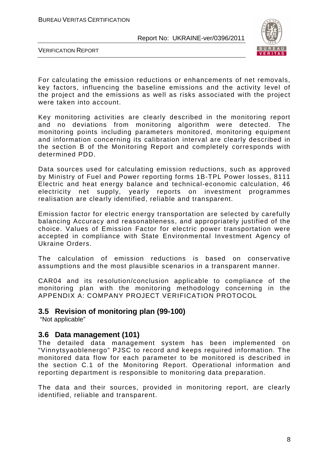

VERIFICATION REPORT

For calculating the emission reductions or enhancements of net removals, key factors, influencing the baseline emissions and the activity level of the project and the emissions as well as risks associated with the project were taken into account.

Key monitoring activities are clearly described in the monitoring report and no deviations from monitoring algorithm were detected. The monitoring points including parameters monitored, monitoring equipment and information concerning its calibration interval are clearly described in the section B of the Monitoring Report and completely corresponds with determined PDD.

Data sources used for calculating emission reductions, such as approved by Ministry of Fuel and Power reporting forms 1B-TPL Power losses, 8111 Electric and heat energy balance and technical-economic calculation, 46 electricity net supply, yearly reports on investment programmes realisation are clearly identified, reliable and transparent.

Emission factor for electric energy transportation are selected by carefully balancing Accuracy and reasonableness, and appropriately justified of the choice. Values of Emission Factor for electric power transportation were accepted in compliance with State Environmental Investment Agency of Ukraine Orders.

The calculation of emission reductions is based on conservative assumptions and the most plausible scenarios in a transparent manner.

CAR04 and its resolution/conclusion applicable to compliance of the monitoring plan with the monitoring methodology concerning in the APPENDIX A: COMPANY PROJECT VERIFICATION PROTOCOL

## **3.5 Revision of monitoring plan (99-100)**

"Not applicable"

## **3.6 Data management (101)**

The detailed data management system has been implemented on "Vinnytsyaoblenergo" PJSC to record and keeps required information. The monitored data flow for each parameter to be monitored is described in the section C.1 of the Monitoring Report. Operational information and reporting department is responsible to monitoring data preparation.

The data and their sources, provided in monitoring report, are clearly identified, reliable and transparent.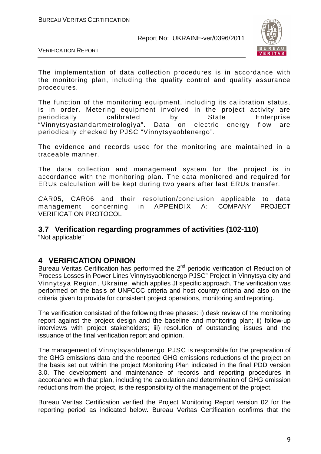

VERIFICATION REPORT

The implementation of data collection procedures is in accordance with the monitoring plan, including the quality control and quality assurance procedures.

The function of the monitoring equipment, including its calibration status, is in order. Metering equipment involved in the project activity are periodically calibrated by State Enterprise "Vinnytsyastandartmetrologiya". Data on electric energy flow are periodically checked by PJSC "Vinnytsyaoblenergo".

The evidence and records used for the monitoring are maintained in a traceable manner.

The data collection and management system for the project is in accordance with the monitoring plan. The data monitored and required for ERUs calculation will be kept during two years after last ERUs transfer.

CAR05, CAR06 and their resolution/conclusion applicable to data management concerning in APPENDIX A: COMPANY PROJECT VERIFICATION PROTOCOL

## **3.7 Verification regarding programmes of activities (102-110)**

"Not applicable"

## **4 VERIFICATION OPINION**

Bureau Veritas Certification has performed the  $2<sup>nd</sup>$  periodic verification of Reduction of Process Losses in Power Lines Vinnytsyaoblenergo PJSC" Project in Vinnytsya city and Vinnytsya Region, Ukraine, which applies JI specific approach. The verification was performed on the basis of UNFCCC criteria and host country criteria and also on the criteria given to provide for consistent project operations, monitoring and reporting.

The verification consisted of the following three phases: i) desk review of the monitoring report against the project design and the baseline and monitoring plan; ii) follow-up interviews with project stakeholders; iii) resolution of outstanding issues and the issuance of the final verification report and opinion.

The management of Vinnytsyaoblenergo PJSC is responsible for the preparation of the GHG emissions data and the reported GHG emissions reductions of the project on the basis set out within the project Monitoring Plan indicated in the final PDD version 3.0. The development and maintenance of records and reporting procedures in accordance with that plan, including the calculation and determination of GHG emission reductions from the project, is the responsibility of the management of the project.

Bureau Veritas Certification verified the Project Monitoring Report version 02 for the reporting period as indicated below. Bureau Veritas Certification confirms that the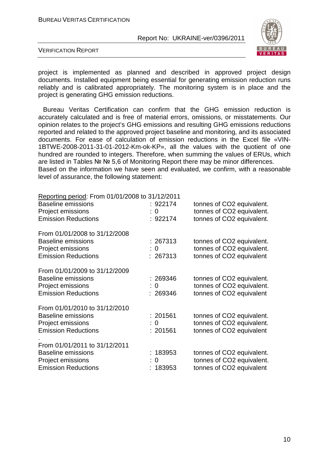

VERIFICATION REPORT

project is implemented as planned and described in approved project design documents. Installed equipment being essential for generating emission reduction runs reliably and is calibrated appropriately. The monitoring system is in place and the project is generating GHG emission reductions.

Bureau Veritas Certification can confirm that the GHG emission reduction is accurately calculated and is free of material errors, omissions, or misstatements. Our opinion relates to the project's GHG emissions and resulting GHG emissions reductions reported and related to the approved project baseline and monitoring, and its associated documents. For ease of calculation of emission reductions in the Excel file «VIN-1BTWE-2008-2011-31-01-2012-Km-ok-KP», all the values with the quotient of one hundred are rounded to integers. Therefore, when summing the values of ERUs, which are listed in Tables № № 5,6 of Monitoring Report there may be minor differences. Based on the information we have seen and evaluated, we confirm, with a reasonable level of assurance, the following statement:

| Reporting period: From 01/01/2008 to 31/12/2011 |          |                           |
|-------------------------------------------------|----------|---------------------------|
| <b>Baseline emissions</b>                       | : 922174 | tonnes of CO2 equivalent. |
| Project emissions                               | : 0      | tonnes of CO2 equivalent. |
| <b>Emission Reductions</b>                      | : 922174 | tonnes of CO2 equivalent. |
| From 01/01/2008 to 31/12/2008                   |          |                           |
| Baseline emissions                              | : 267313 | tonnes of CO2 equivalent. |
| Project emissions                               | : 0      | tonnes of CO2 equivalent. |
| <b>Emission Reductions</b>                      | : 267313 | tonnes of CO2 equivalent  |
| From 01/01/2009 to 31/12/2009                   |          |                           |
| <b>Baseline emissions</b>                       | : 269346 | tonnes of CO2 equivalent. |
| Project emissions                               | : 0      | tonnes of CO2 equivalent. |
| <b>Emission Reductions</b>                      | : 269346 | tonnes of CO2 equivalent  |
| From 01/01/2010 to 31/12/2010                   |          |                           |
| <b>Baseline emissions</b>                       | : 201561 | tonnes of CO2 equivalent. |
| Project emissions                               | : 0      | tonnes of CO2 equivalent. |
| <b>Emission Reductions</b>                      | : 201561 | tonnes of CO2 equivalent  |
| From 01/01/2011 to 31/12/2011                   |          |                           |
| <b>Baseline emissions</b>                       | : 183953 | tonnes of CO2 equivalent. |
| Project emissions                               | : 0      | tonnes of CO2 equivalent. |
| <b>Emission Reductions</b>                      | : 183953 | tonnes of CO2 equivalent  |
|                                                 |          |                           |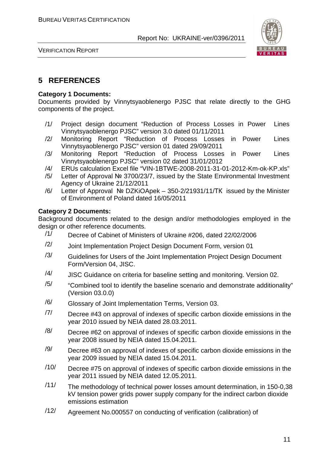

VERIFICATION REPORT

## **5 REFERENCES**

#### **Category 1 Documents:**

Documents provided by Vinnytsyaoblenergo PJSC that relate directly to the GHG components of the project.

- /1/ Project design document "Reduction of Process Losses in Power Lines Vinnytsyaoblenergo PJSC" version 3.0 dated 01/11/2011
- /2/ Monitoring Report "Reduction of Process Losses in Power Lines Vinnytsyaoblenergo PJSC" version 01 dated 29/09/2011
- /3/ Monitoring Report "Reduction of Process Losses in Power Lines Vinnytsyaoblenergo PJSC" version 02 dated 31/01/2012
- /4/ ERUs calculation Excel file "VIN-1BTWE-2008-2011-31-01-2012-Km-ok-KP.xls"
- /5/ Letter of Approval № 3700/23/7, issued by the State Environmental Investment Agency of Ukraine 21/12/2011
- /6/ Letter of Approval № DZKiOApek 350-2/21931/11/ТК issued by the Minister of Environment of Poland dated 16/05/2011

#### **Category 2 Documents:**

Background documents related to the design and/or methodologies employed in the design or other reference documents.

- /1/ Decree of Cabinet of Ministers of Ukraine #206, dated 22/02/2006
- /2/ Joint Implementation Project Design Document Form, version 01
- $/3/$  Guidelines for Users of the Joint Implementation Project Design Document Form/Version 04, JISC.
- $/4/$  JISC Guidance on criteria for baseline setting and monitoring. Version 02.
- $/5/$  "Combined tool to identify the baseline scenario and demonstrate additionality" (Version 03.0.0)
- /6/ Glossary of Joint Implementation Terms, Version 03.
- $/7/$  Decree #43 on approval of indexes of specific carbon dioxide emissions in the year 2010 issued by NEIA dated 28.03.2011.
- $/8/$  Decree #62 on approval of indexes of specific carbon dioxide emissions in the year 2008 issued by NEIA dated 15.04.2011.
- $/9$  Decree #63 on approval of indexes of specific carbon dioxide emissions in the year 2009 issued by NEIA dated 15.04.2011.
- /10/ Decree #75 on approval of indexes of specific carbon dioxide emissions in the year 2011 issued by NEIA dated 12.05.2011.
- /11/ The methodology of technical power losses amount determination, in 150-0,38 kV tension power grids power supply company for the indirect carbon dioxide emissions estimation
- /12/ Agreement No.000557 on conducting of verification (calibration) of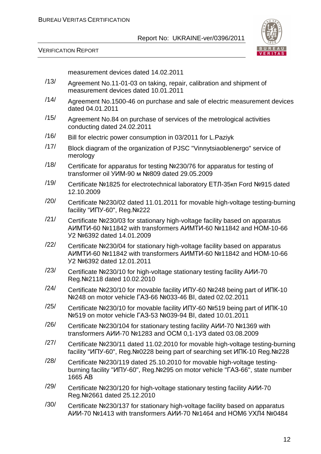

VERIFICATION REPORT

measurement devices dated 14.02.2011

- /13/ Agreement No.11-01-03 on taking, repair, calibration and shipment of measurement devices dated 10.01.2011
- /14/ Agreement No.1500-46 on purchase and sale of electric measurement devices dated 04.01.2011
- /15/ Agreement No.84 on purchase of services of the metrological activities conducting dated 24.02.2011
- /16/ Bill for electric power consumption in 03/2011 for L.Paziyk
- /17/ Block diagram of the organization of PJSC "Vinnytsiaoblenergo" service of merology
- /18/ Certificate for apparatus for testing №230/76 for apparatus for testing of transformer oil УИМ-90 м №809 dated 29.05.2009
- /19/ Certificate №1825 for electrotechnical laboratory ЕТЛ-35кп Ford №915 dated 12.10.2009
- /20/ Certificate №230/02 dated 11.01.2011 for movable high-voltage testing-burning facility "ИПУ-60", Reg.№222
- /21/ Certificate №230/03 for stationary high-voltage facility based on apparatus АИМТИ-60 №11842 with transformers АИМТИ-60 №11842 and НОМ-10-66 У2 №6392 dated 14.01.2009
- /22/ Certificate №230/04 for stationary high-voltage facility based on apparatus АИМТИ-60 №11842 with transformers АИМТИ-60 №11842 and НОМ-10-66 У2 №6392 dated 12.01.2011
- /23/ Certificate №230/10 for high-voltage stationary testing facility АИИ-70 Reg.№2118 dated 10.02.2010
- /24/ Certificate №230/10 for movable facility ИПУ-60 №248 being part of ИПК-10 №248 on motor vehicle ГАЗ-66 №033-46 ВІ, dated 02.02.2011
- /25/ Certificate №230/10 for movable facility ИПУ-60 №519 being part of ИПК-10 №519 on motor vehicle ГАЗ-53 №039-94 ВІ, dated 10.01.2011
- /26/ Certificate №230/104 for stationary testing facility АИИ-70 №1369 with transformers АИИ-70 №1283 and ОСМ 0,1-1УЗ dated 03.08.2009
- /27/ Certificate №230/11 dated 11.02.2010 for movable high-voltage testing-burning facility "ИПУ-60", Reg.№0228 being part of searching set ИПК-10 Reg.№228
- /28/ Certificate №230/119 dated 25.10.2010 for movable high-voltage testingburning facility "ИПУ-60", Reg.№295 on motor vehicle "ГАЗ-66", state number 1665 АВ
- /29/ Certificate №230/120 for high-voltage stationary testing facility АИИ-70 Reg.№2661 dated 25.12.2010
- /30/ Certificate №230/137 for stationary high-voltage facility based on apparatus АИИ-70 №1413 with transformers АИИ-70 №1464 and НОМ6 УХЛ4 №0484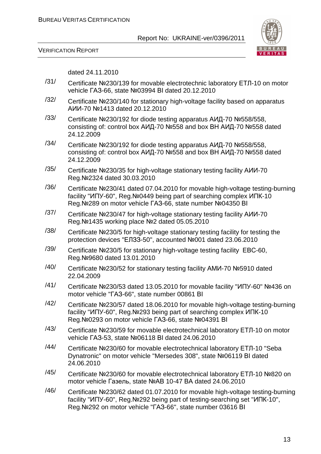



dated 24.11.2010

- /31/ Certificate №230/139 for movable electrotechnic laboratory ЕТЛ-10 on motor vehicle ГАЗ-66, state №03994 ВІ dated 20.12.2010
- /32/ Certificate №230/140 for stationary high-voltage facility based on apparatus АИИ-70 №1413 dated 20.12.2010
- /33/ Certificate №230/192 for diode testing apparatus АИД-70 №558/558, consisting of: control box АИД-70 №558 and box ВН АИД-70 №558 dated 24.12.2009
- /34/ Certificate №230/192 for diode testing apparatus АИД-70 №558/558, consisting of: control box АИД-70 №558 and box ВН АИД-70 №558 dated 24.12.2009
- /35/ Certificate №230/35 for high-voltage stationary testing facility АИИ-70 Reg.№2324 dated 30.03.2010
- /36/ Certificate №230/41 dated 07.04.2010 for movable high-voltage testing-burning facility "ИПУ-60", Reg.№0449 being part of searching complex ИПК-10 Reg.№289 on motor vehicle ГАЗ-66, state number №04350 ВІ
- /37/ Certificate №230/47 for high-voltage stationary testing facility АИИ-70 Reg.№1435 working place №2 dated 05.05.2010
- /38/ Certificate №230/5 for high-voltage stationary testing facility for testing the protection devices "ЕЛЗЗ-50", accounted №001 dated 23.06.2010
- /39/ Certificate №230/5 for stationary high-voltage testing facility ЕВС-60, Reg.№9680 dated 13.01.2010
- /40/ Certificate №230/52 for stationary testing facility АМИ-70 №5910 dated 22.04.2009
- /41/ Certificate №230/53 dated 13.05.2010 for movable facility "ИПУ-60" №436 on motor vehicle "ГАЗ-66", state number 00861 ВІ
- /42/ Certificate №230/57 dated 18.06.2010 for movable high-voltage testing-burning facility "ИПУ-60", Reg.№293 being part of searching complex ИПК-10 Reg.№0293 on motor vehicle ГАЗ-66, state №04391 ВІ
- /43/ Certificate №230/59 for movable electrotechnical laboratory ЕТЛ-10 on motor vehicle ГАЗ-53, state №06118 ВІ dated 24.06.2010
- /44/ Certificate №230/60 for movable electrotechnical laboratory ЕТЛ-10 "Seba Dynatronic" on motor vehicle "Mersedes 308", state №06119 ВІ dated 24.06.2010
- /45/ Certificate №230/60 for movable electrotechnical laboratory ЕТЛ-10 №820 on motor vehicle Газель, state №АВ 10-47 ВА dated 24.06.2010
- /46/ Certificate №230/62 dated 01.07.2010 for movable high-voltage testing-burning facility "ИПУ-60", Reg.№292 being part of testing-searching set "ИПК-10", Reg.№292 on motor vehicle "ГАЗ-66", state number 03616 ВІ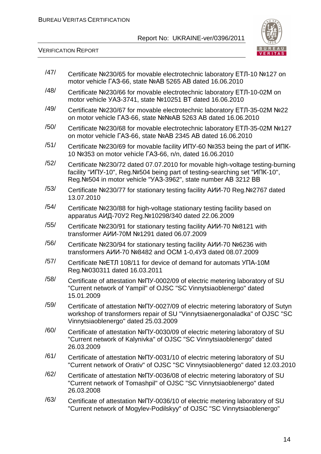

VERIFICATION REPORT

| /47/ | Certificate Nº230/65 for movable electrotechnic laboratory ETJ-10 Nº127 on<br>motor vehicle FA3-66, state NºAB 5265 AB dated 16.06.2010                                                                                         |
|------|---------------------------------------------------------------------------------------------------------------------------------------------------------------------------------------------------------------------------------|
| /48/ | Certificate Nº230/66 for movable electrotechnic laboratory ETJ-10-02M on<br>motor vehicle YA3-3741, state №10251 BT dated 16.06.2010                                                                                            |
| /49/ | Certificate №230/67 for movable electrotechnic laboratory ЕТЛ-35-02М №22<br>on motor vehicle FA3-66, state NºNºAB 5263 AB dated 16.06.2010                                                                                      |
| /50/ | Certificate Nº230/68 for movable electrotechnic laboratory ETJI-35-02M Nº127<br>on motor vehicle FA3-66, state NºAB 2345 AB dated 16.06.2010                                                                                    |
| /51/ | Certificate Nº230/69 for movable facility ИПУ-60 №353 being the part of ИПК-<br>10 Nº353 on motor vehicle FA3-66, n/n, dated 16.06.2010                                                                                         |
| /52/ | Certificate Nº230/72 dated 07.07.2010 for movable high-voltage testing-burning<br>facility "ИПУ-10", Reg. №504 being part of testing-searching set "ИПК-10",<br>Reg. Nº504 in motor vehicle "YA3-3962", state number AB 3212 BB |
| /53/ | Certificate Nº230/77 for stationary testing facility AИИ-70 Reg. Nº2767 dated<br>13.07.2010                                                                                                                                     |
| /54/ | Certificate Nº230/88 for high-voltage stationary testing facility based on<br>apparatus AИД-70У2 Reg. №10298/340 dated 22.06.2009                                                                                               |
| /55/ | Certificate Nº230/91 for stationary testing facility AИИ-70 №8121 with<br>transformer AVM-70M Nº1291 dated 06.07.2009                                                                                                           |
| /56/ | Certificate Nº230/94 for stationary testing facility AИИ-70 №6236 with<br>transformers AИИ-70 Nº8482 and OCM 1-0,4УЗ dated 08.07.2009                                                                                           |
| /57/ | Certificate NºETJ 108/11 for device of demand for automats YΠA-10M<br>Reg. Nº 030311 dated 16.03.2011                                                                                                                           |
| /58/ | Certificate of attestation Nº <sub>IV</sub> -0002/09 of electric metering laboratory of SU<br>"Current network of Yampil" of OJSC "SC Vinnytsiaoblenergo" dated<br>15.01.2009                                                   |
| /59/ | Certificate of attestation Nº <sub>N</sub> y-0027/09 of electric metering laboratory of Sutyn<br>workshop of transformers repair of SU "Vinnytsiaenergonaladka" of OJSC "SC<br>Vinnytsiaoblenergo" dated 25.03.2009             |
| /60/ | Certificate of attestation Nº <sub>IV</sub> -0030/09 of electric metering laboratory of SU<br>"Current network of Kalynivka" of OJSC "SC Vinnytsiaoblenergo" dated<br>26.03.2009                                                |
| /61/ | Certificate of attestation Nº <sub>IV</sub> -0031/10 of electric metering laboratory of SU<br>"Current network of Orativ" of OJSC "SC Vinnytsiaoblenergo" dated 12.03.2010                                                      |
| /62/ | Certificate of attestation Nº <sub>IV</sub> -0036/08 of electric metering laboratory of SU<br>"Current network of Tomashpil" of OJSC "SC Vinnytsiaoblenergo" dated<br>26.03.2008                                                |
| /63/ | Certificate of attestation Nº <sub>IV</sub> -0036/10 of electric metering laboratory of SU<br>"Current network of Mogylev-Podilskyy" of OJSC "SC Vinnytsiaoblenergo"                                                            |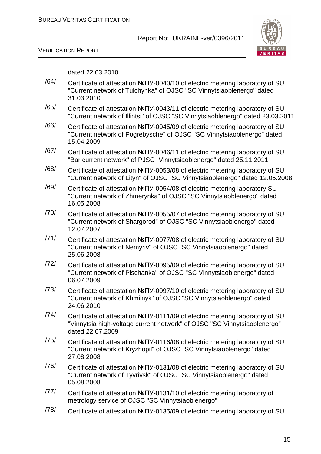

#### VERIFICATION REPORT

dated 22.03.2010

- /64/ Certificate of attestation №ПУ-0040/10 of electric metering laboratory of SU "Current network of Tulchynka" of OJSC "SC Vinnytsiaoblenergo" dated 31.03.2010
- /65/ Certificate of attestation №ПУ-0043/11 of electric metering laboratory of SU "Current network of Illintsi" of OJSC "SC Vinnytsiaoblenergo" dated 23.03.2011
- /66/ Certificate of attestation №ПУ-0045/09 of electric metering laboratory of SU "Current network of Pogrebysche" of OJSC "SC Vinnytsiaoblenergo" dated 15.04.2009
- /67/ Certificate of attestation №ПУ-0046/11 of electric metering laboratory of SU "Bar current network" of PJSC "Vinnytsiaoblenergo" dated 25.11.2011
- /68/ Certificate of attestation №ПУ-0053/08 of electric metering laboratory of SU "Current network of Lityn" of OJSC "SC Vinnytsiaoblenergo" dated 12.05.2008
- /69/ Certificate of attestation №ПУ-0054/08 of electric metering laboratory SU "Current network of Zhmerynka" of OJSC "SC Vinnytsiaoblenergo" dated 16.05.2008
- /70/ Certificate of attestation №ПУ-0055/07 of electric metering laboratory of SU "Current network of Shargorod" of OJSC "SC Vinnytsiaoblenergo" dated 12.07.2007
- /71/ Certificate of attestation №ПУ-0077/08 of electric metering laboratory of SU "Current network of Nemyriv" of OJSC "SC Vinnytsiaoblenergo" dated 25.06.2008
- /72/ Certificate of attestation №ПУ-0095/09 of electric metering laboratory of SU "Current network of Pischanka" of OJSC "SC Vinnytsiaoblenergo" dated 06.07.2009
- /73/ Certificate of attestation №ПУ-0097/10 of electric metering laboratory of SU "Current network of Khmilnyk" of OJSC "SC Vinnytsiaoblenergo" dated 24.06.2010
- /74/ Certificate of attestation №ПУ-0111/09 of electric metering laboratory of SU "Vinnytsia high-voltage current network" of OJSC "SC Vinnytsiaoblenergo" dated 22.07.2009
- /75/ Certificate of attestation №ПУ-0116/08 of electric metering laboratory of SU "Current network of Kryzhopil" of OJSC "SC Vinnytsiaoblenergo" dated 27.08.2008
- /76/ Certificate of attestation №ПУ-0131/08 of electric metering laboratory of SU "Current network of Tyvrivsk" of OJSC "SC Vinnytsiaoblenergo" dated 05.08.2008
- /77/ Certificate of attestation №ПУ-0131/10 of electric metering laboratory of metrology service of OJSC "SC Vinnytsiaoblenergo"
- /78/ Certificate of attestation №ПУ-0135/09 of electric metering laboratory of SU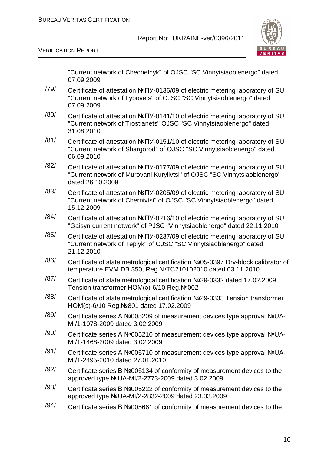

VERIFICATION REPORT

"Current network of Chechelnyk" of OJSC "SC Vinnytsiaoblenergo" dated 07.09.2009

- /79/ Certificate of attestation №ПУ-0136/09 of electric metering laboratory of SU "Current network of Lypovets" of OJSC "SC Vinnytsiaoblenergo" dated 07.09.2009
- /80/ Certificate of attestation №ПУ-0141/10 of electric metering laboratory of SU "Current network of Trostianets" OJSC "SC Vinnytsiaoblenergo" dated 31.08.2010
- /81/ Certificate of attestation №ПУ-0151/10 of electric metering laboratory of SU "Current network of Shargorod" of OJSC "SC Vinnytsiaoblenergo" dated 06.09.2010
- /82/ Certificate of attestation №ПУ-0177/09 of electric metering laboratory of SU "Сurrent network of Murovani Kurylivtsi" of OJSC "SC Vinnytsiaoblenergo" dated 26.10.2009
- /83/ Certificate of attestation №ПУ-0205/09 of electric metering laboratory of SU "Current network of Chernivtsi" of OJSC "SC Vinnytsiaoblenergo" dated 15.12.2009
- /84/ Certificate of attestation №ПУ-0216/10 of electric metering laboratory of SU "Gaisyn current network" of PJSC "Vinnytsiaoblenergo" dated 22.11.2010
- /85/ Certificate of attestation №ПУ-0237/09 of electric metering laboratory of SU "Current network of Teplyk" of OJSC "SC Vinnytsiaoblenergo" dated 21.12.2010
- /86/ Certificate of state metrological certification №05-0397 Dry-block calibrator of temperature EVM DB 350, Reg.№ТС210102010 dated 03.11.2010
- /87/ Certificate of state metrological certification №29-0332 dated 17.02.2009 Tension transformer НОМ(э)-6/10 Reg.№002
- /88/ Certificate of state metrological certification №29-0333 Tension transformer НОМ(э)-6/10 Reg.№801 dated 17.02.2009
- /89/ Certificate series А №005209 of measurement devices type approval №UA-MI/1-1078-2009 dated 3.02.2009
- /90/ Certificate series А №005210 of measurement devices type approval №UA-MI/1-1468-2009 dated 3.02.2009
- /91/ Certificate series А №005710 of measurement devices type approval №UA-MI/1-2495-2010 dated 27.01.2010
- $/92/$  Certificate series B Nº005134 of conformity of measurement devices to the approved type №UA-MI/2-2773-2009 dated 3.02.2009
- /93/ Certificate series В №005222 of conformity of measurement devices to the approved type №UA-MI/2-2832-2009 dated 23.03.2009
- /94/ Certificate series В №005661 of conformity of measurement devices to the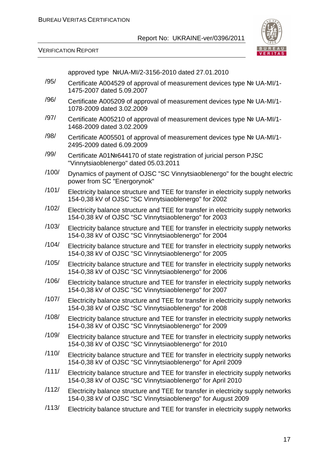

VERIFICATION REPORT

approved type №UA-MI/2-3156-2010 dated 27.01.2010

- /95/ Certificate А004529 of approval of measurement devices type № UA-MI/1- 1475-2007 dated 5.09.2007
- /96/ Certificate А005209 of approval of measurement devices type № UA-MI/1- 1078-2009 dated 3.02.2009
- /97/ Certificate А005210 of approval of measurement devices type № UA-MI/1- 1468-2009 dated 3.02.2009
- /98/ Certificate А005501 of approval of measurement devices type № UA-MI/1- 2495-2009 dated 6.09.2009
- /99/ Certificate А01№644170 of state registration of juricial person PJSC "Vinnytsiaoblenergo" dated 05.03.2011
- /100/ Dynamics of payment of OJSC "SC Vinnytsiaoblenergo" for the bought electric power from SC "Energorynok"
- /101/ Electricity balance structure and TEE for transfer in electricity supply networks 154-0,38 kV of OJSC "SC Vinnytsiaoblenergo" for 2002
- /102/ Electricity balance structure and TEE for transfer in electricity supply networks 154-0,38 kV of OJSC "SC Vinnytsiaoblenergo" for 2003
- /103/ Electricity balance structure and TEE for transfer in electricity supply networks 154-0,38 kV of OJSC "SC Vinnytsiaoblenergo" for 2004
- /104/ Electricity balance structure and TEE for transfer in electricity supply networks 154-0,38 kV of OJSC "SC Vinnytsiaoblenergo" for 2005
- /105/ Electricity balance structure and TEE for transfer in electricity supply networks 154-0,38 kV of OJSC "SC Vinnytsiaoblenergo" for 2006
- /106/ Electricity balance structure and TEE for transfer in electricity supply networks 154-0,38 kV of OJSC "SC Vinnytsiaoblenergo" for 2007
- /107/ Electricity balance structure and TEE for transfer in electricity supply networks 154-0,38 kV of OJSC "SC Vinnytsiaoblenergo" for 2008
- /108/ Electricity balance structure and TEE for transfer in electricity supply networks 154-0,38 kV of OJSC "SC Vinnytsiaoblenergo" for 2009
- /109/ Electricity balance structure and TEE for transfer in electricity supply networks 154-0,38 kV of OJSC "SC Vinnytsiaoblenergo" for 2010
- /110/ Electricity balance structure and TEE for transfer in electricity supply networks 154-0,38 kV of OJSC "SC Vinnytsiaoblenergo" for April 2009
- /111/ Electricity balance structure and TEE for transfer in electricity supply networks 154-0,38 kV of OJSC "SC Vinnytsiaoblenergo" for April 2010
- /112/ Electricity balance structure and TEE for transfer in electricity supply networks 154-0,38 kV of OJSC "SC Vinnytsiaoblenergo" for August 2009
- /113/ Electricity balance structure and TEE for transfer in electricity supply networks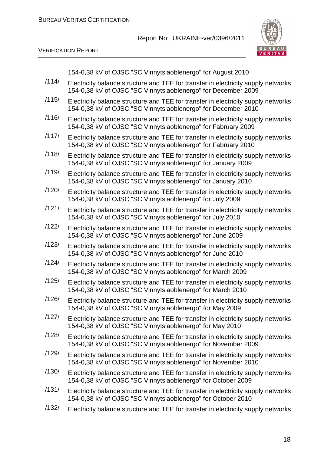

VERIFICATION REPORT

154-0,38 kV of OJSC "SC Vinnytsiaoblenergo" for August 2010

- /114/ Electricity balance structure and TEE for transfer in electricity supply networks 154-0,38 kV of OJSC "SC Vinnytsiaoblenergo" for December 2009
- /115/ Electricity balance structure and TEE for transfer in electricity supply networks 154-0,38 kV of OJSC "SC Vinnytsiaoblenergo" for December 2010
- /116/ Electricity balance structure and TEE for transfer in electricity supply networks 154-0,38 kV of OJSC "SC Vinnytsiaoblenergo" for Fabruary 2009
- /117/ Electricity balance structure and TEE for transfer in electricity supply networks 154-0,38 kV of OJSC "SC Vinnytsiaoblenergo" for Fabruary 2010
- /118/ Electricity balance structure and TEE for transfer in electricity supply networks 154-0,38 kV of OJSC "SC Vinnytsiaoblenergo" for January 2009
- /119/ Electricity balance structure and TEE for transfer in electricity supply networks 154-0,38 kV of OJSC "SC Vinnytsiaoblenergo" for January 2010
- /120/ Electricity balance structure and TEE for transfer in electricity supply networks 154-0,38 kV of OJSC "SC Vinnytsiaoblenergo" for July 2009
- /121/ Electricity balance structure and TEE for transfer in electricity supply networks 154-0,38 kV of OJSC "SC Vinnytsiaoblenergo" for July 2010
- /122/ Electricity balance structure and TEE for transfer in electricity supply networks 154-0,38 kV of OJSC "SC Vinnytsiaoblenergo" for June 2009
- /123/ Electricity balance structure and TEE for transfer in electricity supply networks 154-0,38 kV of OJSC "SC Vinnytsiaoblenergo" for June 2010
- /124/ Electricity balance structure and TEE for transfer in electricity supply networks 154-0,38 kV of OJSC "SC Vinnytsiaoblenergo" for March 2009
- /125/ Electricity balance structure and TEE for transfer in electricity supply networks 154-0,38 kV of OJSC "SC Vinnytsiaoblenergo" for March 2010
- /126/ Electricity balance structure and TEE for transfer in electricity supply networks 154-0,38 kV of OJSC "SC Vinnytsiaoblenergo" for May 2009
- /127/ Electricity balance structure and TEE for transfer in electricity supply networks 154-0,38 kV of OJSC "SC Vinnytsiaoblenergo" for May 2010
- /128/ Electricity balance structure and TEE for transfer in electricity supply networks 154-0,38 kV of OJSC "SC Vinnytsiaoblenergo" for November 2009
- /129/ Electricity balance structure and TEE for transfer in electricity supply networks 154-0,38 kV of OJSC "SC Vinnytsiaoblenergo" for November 2010
- /130/ Electricity balance structure and TEE for transfer in electricity supply networks 154-0,38 kV of OJSC "SC Vinnytsiaoblenergo" for October 2009
- /131/ Electricity balance structure and TEE for transfer in electricity supply networks 154-0,38 kV of OJSC "SC Vinnytsiaoblenergo" for October 2010
- /132/ Electricity balance structure and TEE for transfer in electricity supply networks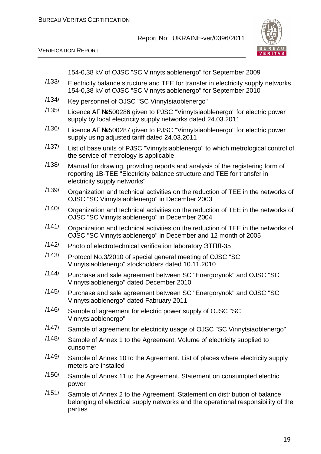

VERIFICATION REPORT

154-0,38 kV of OJSC "SC Vinnytsiaoblenergo" for September 2009

- /133/ Electricity balance structure and TEE for transfer in electricity supply networks 154-0,38 kV of OJSC "SC Vinnytsiaoblenergo" for September 2010
- /134/ Key personnel of OJSC "SC Vinnytsiaoblenergo"
- /135/ Licence АГ №500286 given to PJSC "Vinnytsiaoblenergo" for electric power supply by local electricity supply networks dated 24.03.2011
- /136/ Licence АГ №500287 given to PJSC "Vinnytsiaoblenergo" for electric power supply using adjusted tariff dated 24.03.2011
- /137/ List of base units of PJSC "Vinnytsiaoblenergo" to which metrological control of the service of metrology is applicable
- /138/ Manual for drawing, providing reports and analysis of the registering form of reporting 1B-TEE "Electricity balance structure and TEE for transfer in electricity supply networks"
- /139/ Organization and technical activities on the reduction of TEE in the networks of OJSC "SC Vinnytsiaoblenergo" in December 2003
- /140/ Organization and technical activities on the reduction of TEE in the networks of OJSC "SC Vinnytsiaoblenergo" in December 2004
- /141/ Organization and technical activities on the reduction of TEE in the networks of OJSC "SC Vinnytsiaoblenergo" in December and 12 month of 2005
- /142/ Photo of electrotechnical verification laboratory ЭТПЛ-35
- /143/ Protocol No.3/2010 of special general meeting of OJSC "SC Vinnytsiaoblenergo" stockholders dated 10.11.2010
- /144/ Purchase and sale agreement between SC "Energorynok" and OJSC "SC Vinnytsiaoblenergo" dated December 2010
- /145/ Purchase and sale agreement between SC "Energorynok" and OJSC "SC Vinnytsiaoblenergo" dated Fabruary 2011
- /146/ Sample of agreement for electric power supply of OJSC "SC Vinnytsiaoblenergo"
- /147/ Sample of agreement for electricity usage of OJSC "SC Vinnytsiaoblenergo"
- /148/ Sample of Annex 1 to the Agreement. Volume of electricity supplied to cunsomer
- /149/ Sample of Annex 10 to the Agreement. List of places where electricity supply meters are installed
- /150/ Sample of Annex 11 to the Agreement. Statement on consumpted electric power
- /151/ Sample of Annex 2 to the Agreement. Statement on distribution of balance belonging of electrical supply networks and the operational responsibility of the parties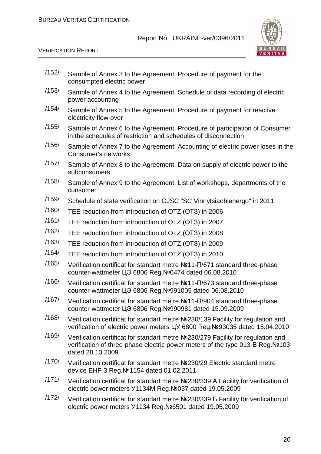

VERIFICATION REPORT

| /152/ | Sample of Annex 3 to the Agreement. Procedure of payment for the<br>consumpted electric power                                                                                          |
|-------|----------------------------------------------------------------------------------------------------------------------------------------------------------------------------------------|
| /153/ | Sample of Annex 4 to the Agreement. Schedule of data recording of electric<br>power accounting                                                                                         |
| /154/ | Sample of Annex 5 to the Agreement. Procedure of payment for reactive<br>electricity flow-over                                                                                         |
| /155/ | Sample of Annex 6 to the Agreement. Procedure of participation of Consumer<br>in the schedules of restriction and schedules of disconnection                                           |
| /156/ | Sample of Annex 7 to the Agreement. Accounting of electric power loses in the<br>Consumer's networks                                                                                   |
| /157/ | Sample of Annex 8 to the Agreement. Data on supply of electric power to the<br>subconsumers                                                                                            |
| /158/ | Sample of Annex 9 to the Agreement. List of workshops, departments of the<br>cunsomer                                                                                                  |
| /159/ | Schedule of state verification on OJSC "SC Vinnytsiaoblenergo" in 2011                                                                                                                 |
| /160/ | TEE reduction from introduction of OTZ (OT3) in 2006                                                                                                                                   |
| /161/ | TEE reduction from introduction of OTZ (OT3) in 2007                                                                                                                                   |
| /162/ | TEE reduction from introduction of OTZ (OT3) in 2008                                                                                                                                   |
| /163/ | TEE reduction from introduction of OTZ (OT3) in 2009                                                                                                                                   |
| /164/ | TEE reduction from introduction of OTZ (OT3) in 2010                                                                                                                                   |
| /165/ | Verification certificat for standart metre Nº11- $\Pi$ /671 standard three-phase<br>counter-wattmeter LG 6806 Reg. Nº0474 dated 06.08.2010                                             |
| /166/ | Verification certificat for standart metre Nº11-Π/673 standard three-phase<br>counter-wattmeter ЦЭ 6806 Reg. Nº991005 dated 06.08.2010                                                 |
| /167/ | Verification certificat for standart metre Nº11-Π/904 standard three-phase<br>counter-wattmeter ЦЭ 6806 Reg. №990981 dated 15.09.2009                                                  |
| /168/ | Verification certificat for standart metre Nº230/139 Facility for regulation and<br>verification of electric power meters LJY 6800 Reg. Nº93035 dated 15.04.2010                       |
| /169/ | Verification certificat for standart metre Nº230/279 Facility for regulation and<br>verification of three-phase electric power meters of the type 013-B Reg. Nº103<br>dated 28.10.2009 |
| /170/ | Verification certificat for standart metre Nº230/29 Electric standard metre<br>device EHF-3 Reg. Nº1154 dated 01.02.2011                                                               |
| /171/ | Verification certificat for standart metre Nº230/339 A Facility for verification of<br>electric power meters Y1134M Reg. Nº037 dated 19.05.2009                                        |
| /172/ | Verification certificat for standart metre Nº230/339 B Facility for verification of<br>electric power meters Y1134 Reg. Nº6501 dated 19.05.2009                                        |
|       |                                                                                                                                                                                        |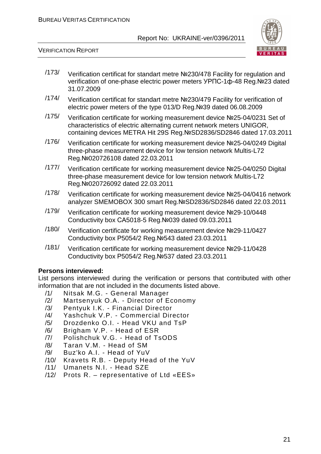

VERIFICATION REPORT

- /173/ Verification certificat for standart metre №230/478 Facility for regulation and verification of one-phase electric power meters УРПС-1ф-48 Reg.№23 dated 31.07.2009
- /174/ Verification certificat for standart metre №230/479 Facility for verification of electric power meters of the type 013/D Reg.№39 dated 06.08.2009
- /175/ Verification certificate for working measurement device №25-04/0231 Set of characteristics of electric alternating current network meters UNIGOR, containing devices METRA Hit 29S Reg.№SD2836/SD2846 dated 17.03.2011
- /176/ Verification certificate for working measurement device №25-04/0249 Digital three-phase measurement device for low tension network Multis-L72 Reg.№020726108 dated 22.03.2011
- /177/ Verification certificate for working measurement device №25-04/0250 Digital three-phase measurement device for low tension network Multis-L72 Reg.№020726092 dated 22.03.2011
- /178/ Verification certificate for working measurement device №25-04/0416 network analyzer SMEMOBOX 300 smart Reg.№SD2836/SD2846 dated 22.03.2011
- /179/ Verification certificate for working measurement device №29-10/0448 Conductivity box СА5018-5 Reg.№039 dated 09.03.2011
- /180/ Verification certificate for working measurement device №29-11/0427 Conductivity box Р5054/2 Reg.№543 dated 23.03.2011
- /181/ Verification certificate for working measurement device №29-11/0428 Conductivity box Р5054/2 Reg.№537 dated 23.03.2011

#### **Persons interviewed:**

List persons interviewed during the verification or persons that contributed with other information that are not included in the documents listed above.

- /1/ Nitsak M.G. General Manager
- /2/ Martsenyuk O.A. Director of Economy
- /3/ Pentyuk I.K. Financial Director
- /4/ Yashchuk V.P. Commercial Director
- /5/ Drozdenko O.I. Head VKU and TsP
- /6/ Brigham V.P. Head of ESR
- /7/ Polishchuk V.G. Head of TsODS
- /8/ Taran V.M. Head of SM
- /9/ Buz'ko A.I. Head of YuV
- /10/ Kravets R.B. Deputy Head of the YuV
- /11/ Umanets N.I. Head SZE
- /12/ Prots R. representative of Ltd «ЕЕS»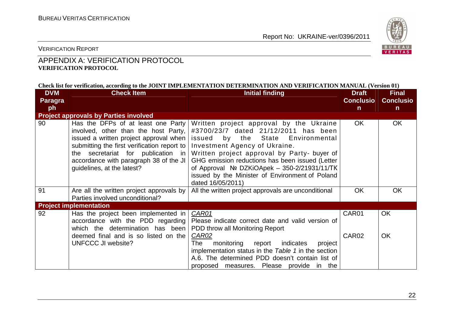

VERIFICATION REPORT

## APPENDIX A: VERIFICATION PROTOCOL **VERIFICATION PROTOCOL**

#### **Check list for verification, according to the JOINT IMPLEMENTATION DETERMINATION AND VERIFICATION MANUAL (Version 01)**

| <b>DVM</b> | <b>Check Item</b>                                                                                                                                                                                                                                                                 | <b>Initial finding</b>                                                                                                                                                                                                                                                                                                                                                            | <b>Draft</b>      | <b>Final</b>     |
|------------|-----------------------------------------------------------------------------------------------------------------------------------------------------------------------------------------------------------------------------------------------------------------------------------|-----------------------------------------------------------------------------------------------------------------------------------------------------------------------------------------------------------------------------------------------------------------------------------------------------------------------------------------------------------------------------------|-------------------|------------------|
| Paragra    |                                                                                                                                                                                                                                                                                   |                                                                                                                                                                                                                                                                                                                                                                                   | <b>Conclusio</b>  | <b>Conclusio</b> |
| ph         |                                                                                                                                                                                                                                                                                   |                                                                                                                                                                                                                                                                                                                                                                                   | $\mathsf{n}$      | $\mathsf{n}$     |
|            | <b>Project approvals by Parties involved</b>                                                                                                                                                                                                                                      |                                                                                                                                                                                                                                                                                                                                                                                   |                   |                  |
| 90         | Has the DFPs of at least one Party<br>involved, other than the host Party,<br>issued a written project approval when<br>submitting the first verification report to<br>the secretariat for publication in<br>accordance with paragraph 38 of the JI<br>guidelines, at the latest? | Written project approval by the Ukraine<br>#3700/23/7 dated 21/12/2011 has been<br>issued by the State Environmental<br>Investment Agency of Ukraine.<br>Written project approval by Party- buyer of<br>GHG emission reductions has been issued (Letter<br>of Approval $N2$ DZKiOApek - 350-2/21931/11/TK<br>issued by the Minister of Environment of Poland<br>dated 16/05/2011) | <b>OK</b>         | <b>OK</b>        |
| 91         | Are all the written project approvals by<br>Parties involved unconditional?                                                                                                                                                                                                       | All the written project approvals are unconditional                                                                                                                                                                                                                                                                                                                               | <b>OK</b>         | <b>OK</b>        |
|            | <b>Project implementation</b>                                                                                                                                                                                                                                                     |                                                                                                                                                                                                                                                                                                                                                                                   |                   |                  |
| 92         | Has the project been implemented in<br>accordance with the PDD regarding<br>which the determination has been                                                                                                                                                                      | CAR01<br>Please indicate correct date and valid version of<br>PDD throw all Monitoring Report                                                                                                                                                                                                                                                                                     | CAR01             | <b>OK</b>        |
|            | deemed final and is so listed on the<br><b>UNFCCC JI website?</b>                                                                                                                                                                                                                 | CAR02<br>monitoring<br>The<br>report indicates<br>project<br>implementation status in the Table 1 in the section<br>A.6. The determined PDD doesn't contain list of<br>proposed measures. Please provide in the                                                                                                                                                                   | CAR <sub>02</sub> | <b>OK</b>        |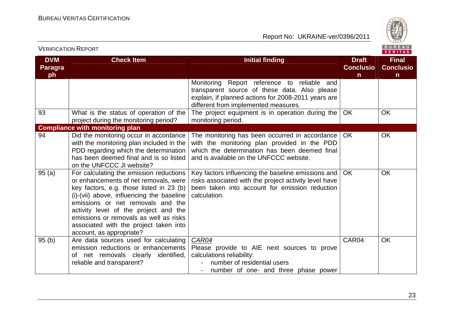

| <b>VERIFICATION REPORT</b>         |                                                                                                                                                                                                                                                                                                                                                                         |                                                                                                                                                                                                |                                       |                                                  |
|------------------------------------|-------------------------------------------------------------------------------------------------------------------------------------------------------------------------------------------------------------------------------------------------------------------------------------------------------------------------------------------------------------------------|------------------------------------------------------------------------------------------------------------------------------------------------------------------------------------------------|---------------------------------------|--------------------------------------------------|
| <b>DVM</b><br><b>Paragra</b><br>ph | <b>Check Item</b>                                                                                                                                                                                                                                                                                                                                                       | <b>Initial finding</b>                                                                                                                                                                         | <b>Draft</b><br><b>Conclusio</b><br>n | <b>Final</b><br><b>Conclusio</b><br>$\mathsf{n}$ |
|                                    |                                                                                                                                                                                                                                                                                                                                                                         | Report reference to reliable and<br>Monitoring<br>transparent source of these data. Also please<br>explain, if planned actions for 2008-2011 years are<br>different from implemented measures. |                                       |                                                  |
| 93                                 | What is the status of operation of the<br>project during the monitoring period?                                                                                                                                                                                                                                                                                         | The project equipment is in operation during the<br>monitoring period.                                                                                                                         | OK                                    | <b>OK</b>                                        |
|                                    | <b>Compliance with monitoring plan</b>                                                                                                                                                                                                                                                                                                                                  |                                                                                                                                                                                                |                                       |                                                  |
| 94                                 | Did the monitoring occur in accordance<br>with the monitoring plan included in the<br>PDD regarding which the determination<br>has been deemed final and is so listed<br>on the UNFCCC JI website?                                                                                                                                                                      | The monitoring has been occurred in accordance<br>with the monitoring plan provided in the PDD<br>which the determination has been deemed final<br>and is available on the UNFCCC website.     | <b>OK</b>                             | <b>OK</b>                                        |
| 95(a)                              | For calculating the emission reductions<br>or enhancements of net removals, were<br>key factors, e.g. those listed in 23 (b)<br>(i)-(vii) above, influencing the baseline<br>emissions or net removals and the<br>activity level of the project and the<br>emissions or removals as well as risks<br>associated with the project taken into<br>account, as appropriate? | Key factors influencing the baseline emissions and<br>risks associated with the project activity level have<br>been taken into account for emission reduction<br>calculation.                  | <b>OK</b>                             | <b>OK</b>                                        |
| 95(b)                              | Are data sources used for calculating<br>emission reductions or enhancements<br>of net removals clearly identified,<br>reliable and transparent?                                                                                                                                                                                                                        | CAR04<br>Please provide to AIE next sources to prove<br>calculations reliability:<br>number of residential users<br>number of one- and three phase power                                       | CAR04                                 | <b>OK</b>                                        |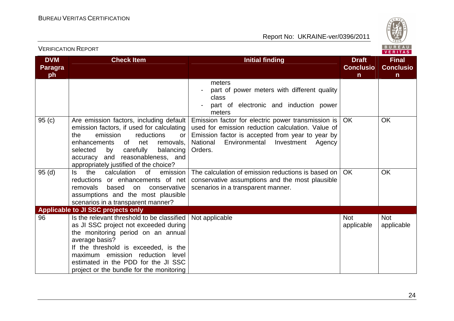

| <b>DVM</b><br><b>Paragra</b><br>ph | <b>Check Item</b>                                                                                                                                                                                                                                                                                             | <b>Initial finding</b>                                                                                                                                                                                                      | <b>Draft</b><br><b>Conclusio</b><br>$\mathsf{n}$ | <b>Final</b><br><b>Conclusio</b><br>$\mathsf{n}$ |
|------------------------------------|---------------------------------------------------------------------------------------------------------------------------------------------------------------------------------------------------------------------------------------------------------------------------------------------------------------|-----------------------------------------------------------------------------------------------------------------------------------------------------------------------------------------------------------------------------|--------------------------------------------------|--------------------------------------------------|
|                                    |                                                                                                                                                                                                                                                                                                               | meters<br>part of power meters with different quality<br>class<br>part of electronic and induction power<br>meters                                                                                                          |                                                  |                                                  |
| 95(c)                              | Are emission factors, including default<br>emission factors, if used for calculating<br>emission<br>reductions<br>the<br>or<br>of<br>enhancements<br>net<br>removals,<br>carefully<br>selected<br>by<br>balancing<br>accuracy and reasonableness, and<br>appropriately justified of the choice?               | Emission factor for electric power transmission is<br>used for emission reduction calculation. Value of<br>Emission factor is accepted from year to year by<br>National<br>Environmental<br>Investment<br>Agency<br>Orders. | <b>OK</b>                                        | <b>OK</b>                                        |
| 95(d)                              | the<br>calculation<br>0f<br>emission<br>ls.<br>reductions or enhancements of net<br>removals<br>based<br>conservative<br>on<br>assumptions and the most plausible<br>scenarios in a transparent manner?                                                                                                       | The calculation of emission reductions is based on<br>conservative assumptions and the most plausible<br>scenarios in a transparent manner.                                                                                 | <b>OK</b>                                        | <b>OK</b>                                        |
|                                    | Applicable to JI SSC projects only                                                                                                                                                                                                                                                                            |                                                                                                                                                                                                                             |                                                  |                                                  |
| 96                                 | Is the relevant threshold to be classified<br>as JI SSC project not exceeded during<br>the monitoring period on an annual<br>average basis?<br>If the threshold is exceeded, is the<br>maximum emission reduction<br>level<br>estimated in the PDD for the JI SSC<br>project or the bundle for the monitoring | Not applicable                                                                                                                                                                                                              | <b>Not</b><br>applicable                         | <b>Not</b><br>applicable                         |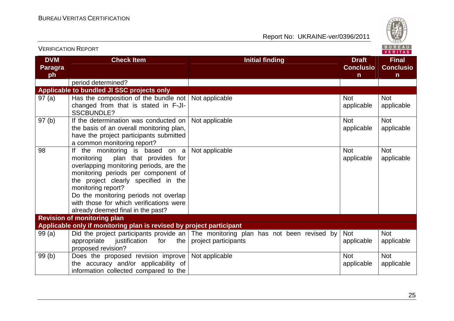

| <b>VERIFICATION REPORT</b>         |                                                                                                                                                                                                                                                                                                                                                  |                                                                                                             |                                                  | BUREAU<br><b>VERITAS</b>                         |
|------------------------------------|--------------------------------------------------------------------------------------------------------------------------------------------------------------------------------------------------------------------------------------------------------------------------------------------------------------------------------------------------|-------------------------------------------------------------------------------------------------------------|--------------------------------------------------|--------------------------------------------------|
| <b>DVM</b><br><b>Paragra</b><br>ph | <b>Check Item</b>                                                                                                                                                                                                                                                                                                                                | <b>Initial finding</b>                                                                                      | <b>Draft</b><br><b>Conclusio</b><br>$\mathsf{n}$ | <b>Final</b><br><b>Conclusio</b><br>$\mathsf{n}$ |
|                                    | period determined?                                                                                                                                                                                                                                                                                                                               |                                                                                                             |                                                  |                                                  |
|                                    | Applicable to bundled JI SSC projects only                                                                                                                                                                                                                                                                                                       |                                                                                                             |                                                  |                                                  |
| 97(a)                              | Has the composition of the bundle not<br>changed from that is stated in F-JI-<br><b>SSCBUNDLE?</b>                                                                                                                                                                                                                                               | Not applicable                                                                                              | <b>Not</b><br>applicable                         | <b>Not</b><br>applicable                         |
| 97(b)                              | If the determination was conducted on<br>the basis of an overall monitoring plan,<br>have the project participants submitted<br>a common monitoring report?                                                                                                                                                                                      | Not applicable                                                                                              | <b>Not</b><br>applicable                         | <b>Not</b><br>applicable                         |
| 98                                 | If the monitoring is based on a<br>plan that provides for<br>monitoring<br>overlapping monitoring periods, are the<br>monitoring periods per component of<br>the project clearly specified in the<br>monitoring report?<br>Do the monitoring periods not overlap<br>with those for which verifications were<br>already deemed final in the past? | Not applicable                                                                                              | <b>Not</b><br>applicable                         | <b>Not</b><br>applicable                         |
|                                    | <b>Revision of monitoring plan</b>                                                                                                                                                                                                                                                                                                               |                                                                                                             |                                                  |                                                  |
|                                    | Applicable only if monitoring plan is revised by project participant                                                                                                                                                                                                                                                                             |                                                                                                             |                                                  |                                                  |
| 99(a)                              | appropriate<br>justification<br>the<br>for<br>proposed revision?                                                                                                                                                                                                                                                                                 | Did the project participants provide an The monitoring plan has not been revised by<br>project participants | <b>Not</b><br>applicable                         | <b>Not</b><br>applicable                         |
| 99(b)                              | Does the proposed revision improve<br>the accuracy and/or applicability of<br>information collected compared to the                                                                                                                                                                                                                              | Not applicable                                                                                              | <b>Not</b><br>applicable                         | <b>Not</b><br>applicable                         |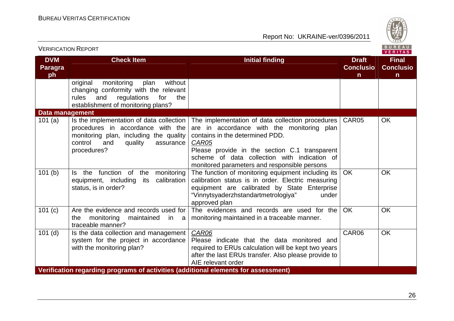

| <b>VERIFICATION REPORT</b>         |                                                                                                                                                                                  |                                                                                                                                                                                                                                                                                             |                                                  |                                                  |
|------------------------------------|----------------------------------------------------------------------------------------------------------------------------------------------------------------------------------|---------------------------------------------------------------------------------------------------------------------------------------------------------------------------------------------------------------------------------------------------------------------------------------------|--------------------------------------------------|--------------------------------------------------|
| <b>DVM</b><br><b>Paragra</b><br>ph | <b>Check Item</b>                                                                                                                                                                | <b>Initial finding</b>                                                                                                                                                                                                                                                                      | <b>Draft</b><br><b>Conclusio</b><br>$\mathsf{n}$ | <b>Final</b><br><b>Conclusio</b><br>$\mathsf{n}$ |
|                                    | monitoring<br>without<br>original<br>plan<br>changing conformity with the relevant<br>rules<br>regulations<br>and<br>for<br>the<br>establishment of monitoring plans?            |                                                                                                                                                                                                                                                                                             |                                                  |                                                  |
| Data management                    |                                                                                                                                                                                  |                                                                                                                                                                                                                                                                                             |                                                  |                                                  |
| 101 $(a)$                          | Is the implementation of data collection<br>procedures in accordance with the<br>monitoring plan, including the quality<br>control<br>and<br>quality<br>assurance<br>procedures? | The implementation of data collection procedures<br>are in accordance with the monitoring plan<br>contains in the determined PDD.<br>CAR05<br>Please provide in the section C.1 transparent<br>scheme of data collection with indication of<br>monitored parameters and responsible persons | CAR05                                            | <b>OK</b>                                        |
| 101(b)                             | Is the function of the<br>monitoring<br>calibration<br>equipment, including<br>its<br>status, is in order?                                                                       | The function of monitoring equipment including its<br>calibration status is in order. Electric measuring<br>equipment are calibrated by State Enterprise<br>"Vinnytsyaderzhstandartmetrologiya"<br>under<br>approved plan                                                                   | <b>OK</b>                                        | <b>OK</b>                                        |
| 101 (c)                            | Are the evidence and records used for<br>monitoring<br>maintained<br>the<br>in a<br>traceable manner?                                                                            | The evidences and records are used for the<br>monitoring maintained in a traceable manner.                                                                                                                                                                                                  | <b>OK</b>                                        | <b>OK</b>                                        |
| $101$ (d)                          | Is the data collection and management<br>system for the project in accordance<br>with the monitoring plan?                                                                       | CAR06<br>Please indicate that the data monitored and<br>required to ERUs calculation will be kept two years<br>after the last ERUs transfer. Also please provide to<br>AIE relevant order                                                                                                   | CAR06                                            | <b>OK</b>                                        |
|                                    | Verification regarding programs of activities (additional elements for assessment)                                                                                               |                                                                                                                                                                                                                                                                                             |                                                  |                                                  |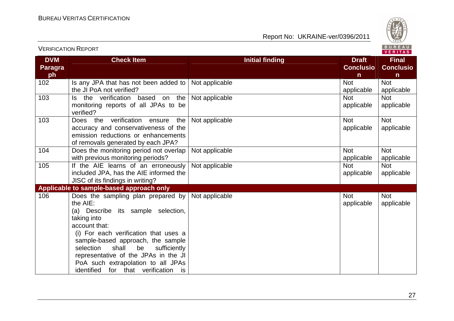

| <b>DVM</b><br><b>Paragra</b><br>ph | <b>Check Item</b>                                                                                                                                                                                                                                                                                                                                                       | <b>Initial finding</b> | <b>Draft</b><br><b>Conclusio</b><br>$\mathsf{n}$ | <b>Final</b><br><b>Conclusio</b><br>$\mathsf{n}$ |
|------------------------------------|-------------------------------------------------------------------------------------------------------------------------------------------------------------------------------------------------------------------------------------------------------------------------------------------------------------------------------------------------------------------------|------------------------|--------------------------------------------------|--------------------------------------------------|
| 102                                | Is any JPA that has not been added to<br>the JI PoA not verified?                                                                                                                                                                                                                                                                                                       | Not applicable         | <b>Not</b><br>applicable                         | <b>Not</b><br>applicable                         |
| 103                                | Is the verification based on the<br>monitoring reports of all JPAs to be<br>verified?                                                                                                                                                                                                                                                                                   | Not applicable         | <b>Not</b><br>applicable                         | <b>Not</b><br>applicable                         |
| 103                                | Does the verification ensure<br>the<br>accuracy and conservativeness of the<br>emission reductions or enhancements<br>of removals generated by each JPA?                                                                                                                                                                                                                | Not applicable         | <b>Not</b><br>applicable                         | <b>Not</b><br>applicable                         |
| 104                                | Does the monitoring period not overlap<br>with previous monitoring periods?                                                                                                                                                                                                                                                                                             | Not applicable         | <b>Not</b><br>applicable                         | <b>Not</b><br>applicable                         |
| 105                                | If the AIE learns of an erroneously<br>included JPA, has the AIE informed the<br>JISC of its findings in writing?                                                                                                                                                                                                                                                       | Not applicable         | <b>Not</b><br>applicable                         | <b>Not</b><br>applicable                         |
|                                    | Applicable to sample-based approach only                                                                                                                                                                                                                                                                                                                                |                        |                                                  |                                                  |
| 106                                | Does the sampling plan prepared by<br>the AIE:<br>(a) Describe its sample selection,<br>taking into<br>account that:<br>(i) For each verification that uses a<br>sample-based approach, the sample<br>selection<br>shall<br>sufficiently<br>be<br>representative of the JPAs in the JI<br>PoA such extrapolation to all JPAs<br>identified for that verification<br>is. | Not applicable         | <b>Not</b><br>applicable                         | <b>Not</b><br>applicable                         |

## VERIFICATION REPORT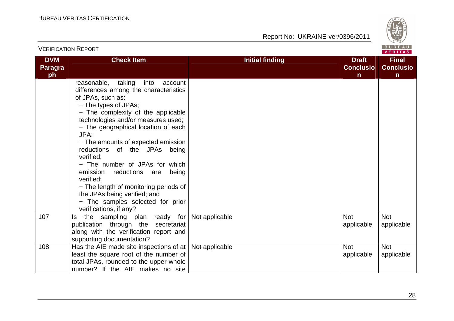

| <b>VERIFICATION REPORT</b>         |                                                                                                                                                                                                                                                                                                                                                                                                                                                                                                                                                                           |                        |                                       |                                                  |
|------------------------------------|---------------------------------------------------------------------------------------------------------------------------------------------------------------------------------------------------------------------------------------------------------------------------------------------------------------------------------------------------------------------------------------------------------------------------------------------------------------------------------------------------------------------------------------------------------------------------|------------------------|---------------------------------------|--------------------------------------------------|
| <b>DVM</b><br><b>Paragra</b><br>ph | <b>Check Item</b>                                                                                                                                                                                                                                                                                                                                                                                                                                                                                                                                                         | <b>Initial finding</b> | <b>Draft</b><br><b>Conclusio</b><br>n | <b>Final</b><br><b>Conclusio</b><br>$\mathsf{n}$ |
|                                    | reasonable, taking<br>into<br>account<br>differences among the characteristics<br>of JPAs, such as:<br>- The types of JPAs;<br>- The complexity of the applicable<br>technologies and/or measures used;<br>- The geographical location of each<br>JPA;<br>- The amounts of expected emission<br>reductions of the JPAs being<br>verified:<br>- The number of JPAs for which<br>emission<br>reductions<br>being<br>are<br>verified:<br>- The length of monitoring periods of<br>the JPAs being verified; and<br>- The samples selected for prior<br>verifications, if any? |                        |                                       |                                                  |
| 107                                | the sampling plan ready for<br>ls.<br>publication through the secretariat<br>along with the verification report and<br>supporting documentation?                                                                                                                                                                                                                                                                                                                                                                                                                          | Not applicable         | <b>Not</b><br>applicable              | <b>Not</b><br>applicable                         |
| 108                                | Has the AIE made site inspections of at $\vert$ Not applicable<br>least the square root of the number of<br>total JPAs, rounded to the upper whole<br>number? If the AIE makes no site                                                                                                                                                                                                                                                                                                                                                                                    |                        | <b>Not</b><br>applicable              | <b>Not</b><br>applicable                         |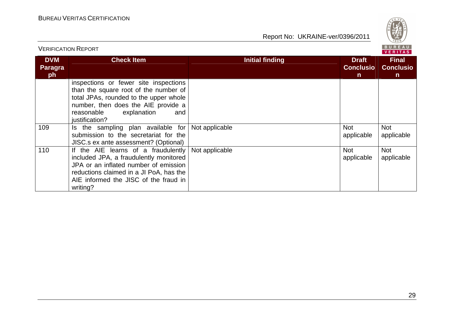

|                                    | <b>VERIFICATION REPORT</b>                                                                                                                                                                                             |                        |                                                  | BUREAU<br><b>VERITAS</b>                         |
|------------------------------------|------------------------------------------------------------------------------------------------------------------------------------------------------------------------------------------------------------------------|------------------------|--------------------------------------------------|--------------------------------------------------|
| <b>DVM</b><br><b>Paragra</b><br>ph | <b>Check Item</b>                                                                                                                                                                                                      | <b>Initial finding</b> | <b>Draft</b><br><b>Conclusio</b><br>$\mathsf{n}$ | <b>Final</b><br><b>Conclusio</b><br>$\mathsf{n}$ |
|                                    | inspections or fewer site inspections<br>than the square root of the number of<br>total JPAs, rounded to the upper whole<br>number, then does the AIE provide a<br>explanation<br>reasonable<br>and<br>justification?  |                        |                                                  |                                                  |
| 109                                | Is the sampling plan available for<br>submission to the secretariat for the<br>JISC.s ex ante assessment? (Optional)                                                                                                   | Not applicable         | <b>Not</b><br>applicable                         | <b>Not</b><br>applicable                         |
| 110                                | If the AIE learns of a fraudulently<br>included JPA, a fraudulently monitored<br>JPA or an inflated number of emission<br>reductions claimed in a JI PoA, has the<br>AIE informed the JISC of the fraud in<br>writing? | Not applicable         | <b>Not</b><br>applicable                         | <b>Not</b><br>applicable                         |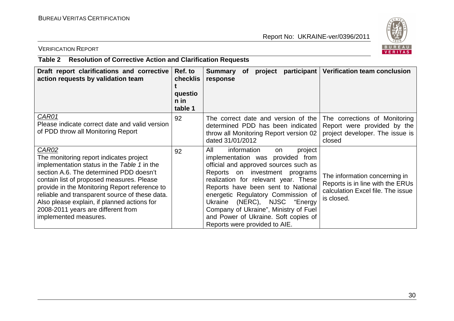

## VERIFICATION REPORT

## **Table 2 Resolution of Corrective Action and Clarification Requests**

| Draft report clarifications and corrective<br>action requests by validation team                                                                                                                                                                                                                                                                                                                         | Ref. to<br><b>checklis</b><br>questio<br>n in<br>table 1 | participant<br><b>Summary</b><br><b>of</b><br>project<br>response                                                                                                                                                                                                                                                                                                                                                              | <b>Verification team conclusion</b>                                                                                  |
|----------------------------------------------------------------------------------------------------------------------------------------------------------------------------------------------------------------------------------------------------------------------------------------------------------------------------------------------------------------------------------------------------------|----------------------------------------------------------|--------------------------------------------------------------------------------------------------------------------------------------------------------------------------------------------------------------------------------------------------------------------------------------------------------------------------------------------------------------------------------------------------------------------------------|----------------------------------------------------------------------------------------------------------------------|
| CAR01<br>Please indicate correct date and valid version<br>of PDD throw all Monitoring Report                                                                                                                                                                                                                                                                                                            | 92                                                       | The correct date and version of the<br>determined PDD has been indicated<br>throw all Monitoring Report version 02<br>dated 31/01/2012                                                                                                                                                                                                                                                                                         | The corrections of Monitoring<br>Report were provided by the<br>project developer. The issue is<br>closed            |
| CAR02<br>The monitoring report indicates project<br>implementation status in the Table 1 in the<br>section A.6. The determined PDD doesn't<br>contain list of proposed measures. Please<br>provide in the Monitoring Report reference to<br>reliable and transparent source of these data.<br>Also please explain, if planned actions for<br>2008-2011 years are different from<br>implemented measures. | 92                                                       | All<br>information<br>project<br>on<br>implementation was provided<br>from<br>official and approved sources such as<br>Reports on investment programs<br>realization for relevant year. These<br>Reports have been sent to National<br>energetic Regulatory Commission of<br>(NERC), NJSC "Energy<br>Ukraine<br>Company of Ukraine", Ministry of Fuel<br>and Power of Ukraine. Soft copies of<br>Reports were provided to AIE. | The information concerning in<br>Reports is in line with the ERUs<br>calculation Excel file. The issue<br>is closed. |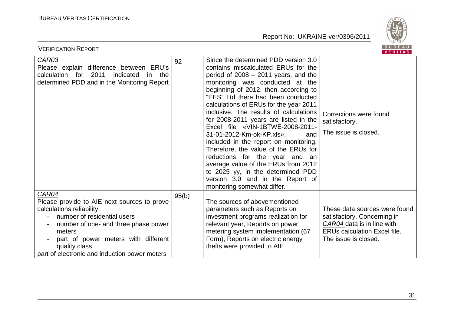

| BUREAU<br><b>VERIFICATION REPORT</b><br>VERITAS                                                                                                                                                                                                                             |       |                                                                                                                                                                                                                                                                                                                                                                                                                                                                                                                                                                                                                                                                                                               |                                                                                                                                                           |  |  |
|-----------------------------------------------------------------------------------------------------------------------------------------------------------------------------------------------------------------------------------------------------------------------------|-------|---------------------------------------------------------------------------------------------------------------------------------------------------------------------------------------------------------------------------------------------------------------------------------------------------------------------------------------------------------------------------------------------------------------------------------------------------------------------------------------------------------------------------------------------------------------------------------------------------------------------------------------------------------------------------------------------------------------|-----------------------------------------------------------------------------------------------------------------------------------------------------------|--|--|
| <b>CAR03</b><br>Please explain difference between ERU's<br>calculation for 2011<br>indicated<br>the<br>in.<br>determined PDD and in the Monitoring Report                                                                                                                   | 92    | Since the determined PDD version 3.0<br>contains miscalculated ERUs for the<br>period of $2008 - 2011$ years, and the<br>monitoring was conducted at the<br>beginning of 2012, then according to<br>"EES" Ltd there had been conducted<br>calculations of ERUs for the year 2011<br>inclusive. The results of calculations<br>for 2008-2011 years are listed in the<br>Excel file «VIN-1BTWE-2008-2011-<br>31-01-2012-Km-ok-KP.xls»,<br>and<br>included in the report on monitoring.<br>Therefore, the value of the ERUs for<br>reductions for the year and an<br>average value of the ERUs from 2012<br>to 2025 yy, in the determined PDD<br>version 3.0 and in the Report of<br>monitoring somewhat differ. | Corrections were found<br>satisfactory.<br>The issue is closed.                                                                                           |  |  |
| CAR04<br>Please provide to AIE next sources to prove<br>calculations reliability:<br>number of residential users<br>number of one- and three phase power<br>meters<br>part of power meters with different<br>quality class<br>part of electronic and induction power meters | 95(b) | The sources of abovementioned<br>parameters such as Reports on<br>investment programs realization for<br>relevant year, Reports on power<br>metering system implementation (67<br>Form), Reports on electric energy<br>thefts were provided to AIE                                                                                                                                                                                                                                                                                                                                                                                                                                                            | These data sources were found<br>satisfactory. Concerning in<br>CAR04 data is in line with<br><b>ERUs calculation Excel file.</b><br>The issue is closed. |  |  |